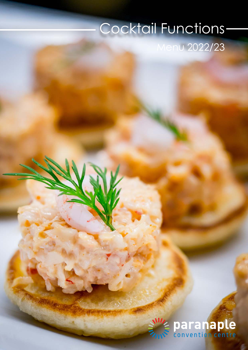# Cocktail Functions

enu 2022/23